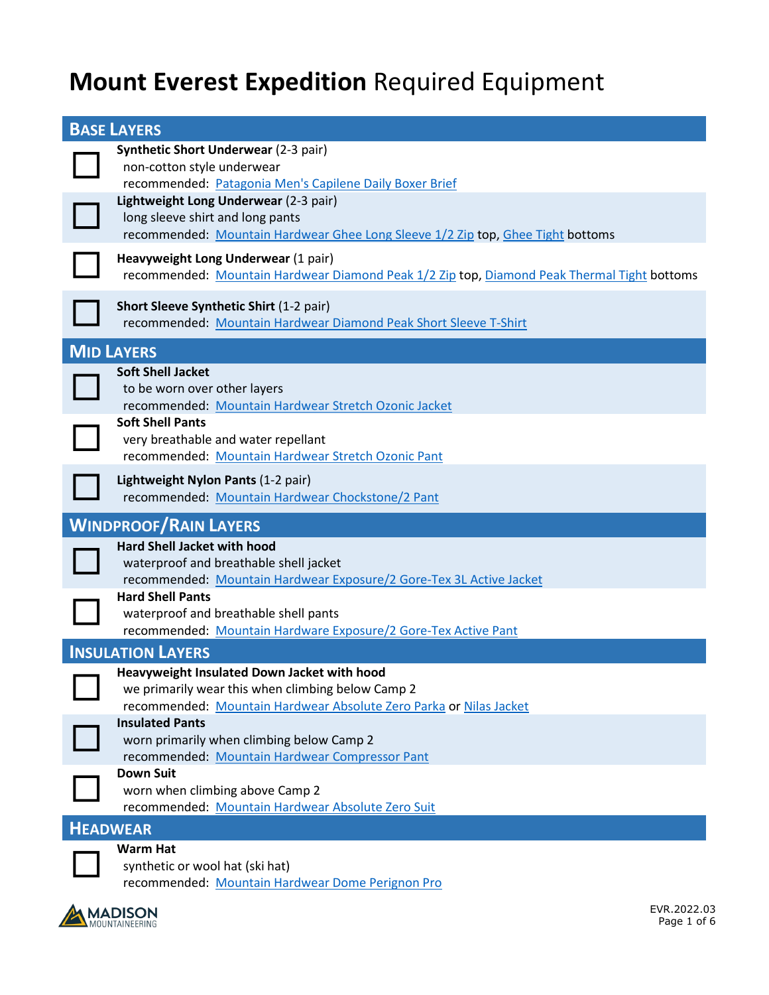## **Mount Everest Expedition** Required Equipment

| <b>BASE LAYERS</b>                                                                                                                                                     |
|------------------------------------------------------------------------------------------------------------------------------------------------------------------------|
| <b>Synthetic Short Underwear (2-3 pair)</b><br>non-cotton style underwear<br>recommended: Patagonia Men's Capilene Daily Boxer Brief                                   |
| Lightweight Long Underwear (2-3 pair)<br>long sleeve shirt and long pants<br>recommended: Mountain Hardwear Ghee Long Sleeve 1/2 Zip top, Ghee Tight bottoms           |
| Heavyweight Long Underwear (1 pair)<br>recommended: Mountain Hardwear Diamond Peak 1/2 Zip top, Diamond Peak Thermal Tight bottoms                                     |
| <b>Short Sleeve Synthetic Shirt (1-2 pair)</b><br>recommended: Mountain Hardwear Diamond Peak Short Sleeve T-Shirt                                                     |
| <b>MID LAYERS</b>                                                                                                                                                      |
| <b>Soft Shell Jacket</b><br>to be worn over other layers<br>recommended: Mountain Hardwear Stretch Ozonic Jacket                                                       |
| <b>Soft Shell Pants</b><br>very breathable and water repellant<br>recommended: Mountain Hardwear Stretch Ozonic Pant                                                   |
| Lightweight Nylon Pants (1-2 pair)<br>recommended: Mountain Hardwear Chockstone/2 Pant                                                                                 |
| <b>WINDPROOF/RAIN LAYERS</b>                                                                                                                                           |
|                                                                                                                                                                        |
| <b>Hard Shell Jacket with hood</b><br>waterproof and breathable shell jacket<br>recommended: Mountain Hardwear Exposure/2 Gore-Tex 3L Active Jacket                    |
| <b>Hard Shell Pants</b><br>waterproof and breathable shell pants<br>recommended: Mountain Hardware Exposure/2 Gore-Tex Active Pant                                     |
| <b>INSULATION LAYERS</b>                                                                                                                                               |
| Heavyweight Insulated Down Jacket with hood<br>we primarily wear this when climbing below Camp 2<br>recommended: Mountain Hardwear Absolute Zero Parka or Nilas Jacket |
| <b>Insulated Pants</b><br>worn primarily when climbing below Camp 2<br>recommended: Mountain Hardwear Compressor Pant                                                  |
| <b>Down Suit</b><br>worn when climbing above Camp 2<br>recommended: Mountain Hardwear Absolute Zero Suit                                                               |
| <b>HEADWEAR</b>                                                                                                                                                        |

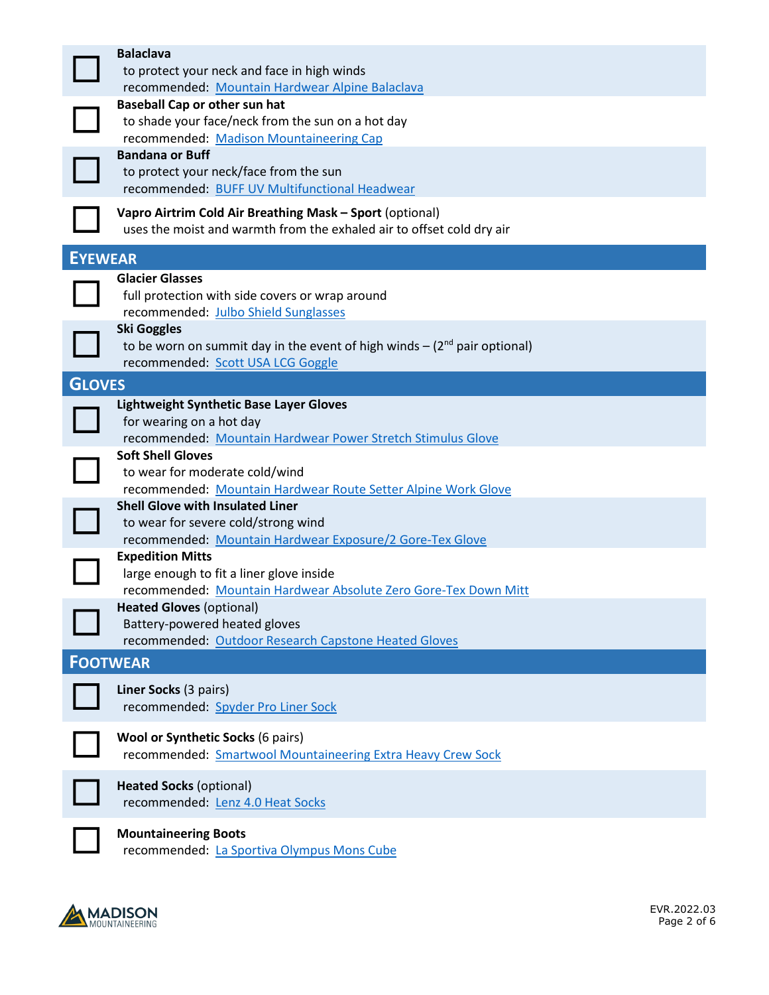|                | <b>Balaclava</b><br>to protect your neck and face in high winds                         |
|----------------|-----------------------------------------------------------------------------------------|
|                | recommended: Mountain Hardwear Alpine Balaclava<br><b>Baseball Cap or other sun hat</b> |
|                | to shade your face/neck from the sun on a hot day                                       |
|                | recommended: Madison Mountaineering Cap                                                 |
|                | <b>Bandana or Buff</b>                                                                  |
|                | to protect your neck/face from the sun                                                  |
|                | recommended: BUFF UV Multifunctional Headwear                                           |
|                | Vapro Airtrim Cold Air Breathing Mask - Sport (optional)                                |
|                | uses the moist and warmth from the exhaled air to offset cold dry air                   |
|                |                                                                                         |
| <b>EYEWEAR</b> |                                                                                         |
|                | <b>Glacier Glasses</b>                                                                  |
|                | full protection with side covers or wrap around                                         |
|                | recommended: Julbo Shield Sunglasses                                                    |
|                | <b>Ski Goggles</b>                                                                      |
|                | to be worn on summit day in the event of high winds $- (2nd pair optional)$             |
|                | recommended: Scott USA LCG Goggle                                                       |
| <b>GLOVES</b>  |                                                                                         |
|                | <b>Lightweight Synthetic Base Layer Gloves</b>                                          |
|                | for wearing on a hot day                                                                |
|                | recommended: Mountain Hardwear Power Stretch Stimulus Glove                             |
|                | <b>Soft Shell Gloves</b>                                                                |
|                | to wear for moderate cold/wind                                                          |
|                | recommended: Mountain Hardwear Route Setter Alpine Work Glove                           |
|                | <b>Shell Glove with Insulated Liner</b>                                                 |
|                | to wear for severe cold/strong wind                                                     |
|                | recommended: Mountain Hardwear Exposure/2 Gore-Tex Glove                                |
|                | <b>Expedition Mitts</b><br>large enough to fit a liner glove inside                     |
|                | recommended: Mountain Hardwear Absolute Zero Gore-Tex Down Mitt                         |
|                | <b>Heated Gloves (optional)</b>                                                         |
|                | Battery-powered heated gloves                                                           |
|                | recommended: Outdoor Research Capstone Heated Gloves                                    |
|                | <b>FOOTWEAR</b>                                                                         |
|                |                                                                                         |
|                | Liner Socks (3 pairs)                                                                   |
|                | recommended: Spyder Pro Liner Sock                                                      |
|                | Wool or Synthetic Socks (6 pairs)                                                       |
|                | recommended: Smartwool Mountaineering Extra Heavy Crew Sock                             |
|                |                                                                                         |
|                | <b>Heated Socks (optional)</b>                                                          |
|                | recommended: Lenz 4.0 Heat Socks                                                        |
|                |                                                                                         |
|                | <b>Mountaineering Boots</b>                                                             |
|                | recommended: La Sportiva Olympus Mons Cube                                              |
|                |                                                                                         |

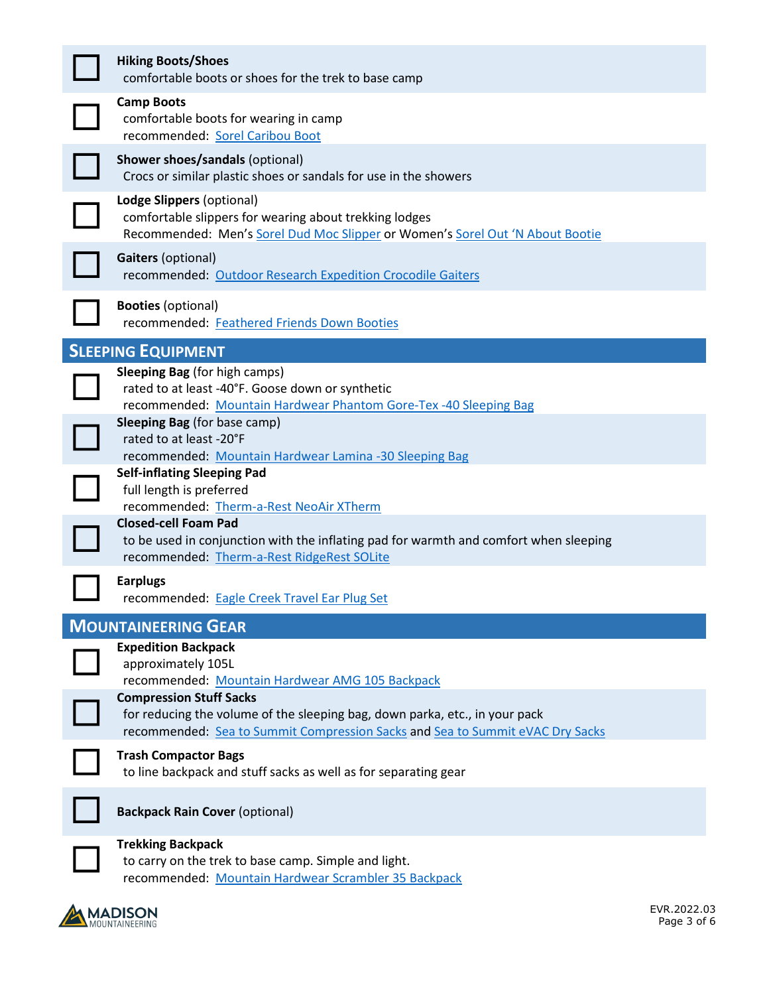| <b>Hiking Boots/Shoes</b><br>comfortable boots or shoes for the trek to base camp                                                                                                              |
|------------------------------------------------------------------------------------------------------------------------------------------------------------------------------------------------|
| <b>Camp Boots</b><br>comfortable boots for wearing in camp<br>recommended: Sorel Caribou Boot                                                                                                  |
| Shower shoes/sandals (optional)<br>Crocs or similar plastic shoes or sandals for use in the showers                                                                                            |
| Lodge Slippers (optional)<br>comfortable slippers for wearing about trekking lodges<br>Recommended: Men's Sorel Dud Moc Slipper or Women's Sorel Out 'N About Bootie                           |
| <b>Gaiters (optional)</b><br>recommended: Outdoor Research Expedition Crocodile Gaiters                                                                                                        |
| <b>Booties (optional)</b><br>recommended: Feathered Friends Down Booties                                                                                                                       |
| <b>SLEEPING EQUIPMENT</b>                                                                                                                                                                      |
| <b>Sleeping Bag</b> (for high camps)<br>rated to at least -40°F. Goose down or synthetic<br>recommended: Mountain Hardwear Phantom Gore-Tex -40 Sleeping Bag                                   |
| <b>Sleeping Bag</b> (for base camp)<br>rated to at least -20°F<br>recommended: Mountain Hardwear Lamina -30 Sleeping Bag                                                                       |
| <b>Self-inflating Sleeping Pad</b><br>full length is preferred<br>recommended: Therm-a-Rest NeoAir XTherm                                                                                      |
| <b>Closed-cell Foam Pad</b><br>to be used in conjunction with the inflating pad for warmth and comfort when sleeping<br>recommended: Therm-a-Rest RidgeRest SOLite                             |
| <b>Earplugs</b><br>recommended: Eagle Creek Travel Ear Plug Set                                                                                                                                |
| <b>MOUNTAINEERING GEAR</b>                                                                                                                                                                     |
| <b>Expedition Backpack</b><br>approximately 105L<br>recommended: Mountain Hardwear AMG 105 Backpack                                                                                            |
| <b>Compression Stuff Sacks</b><br>for reducing the volume of the sleeping bag, down parka, etc., in your pack<br>recommended: Sea to Summit Compression Sacks and Sea to Summit eVAC Dry Sacks |
| <b>Trash Compactor Bags</b><br>to line backpack and stuff sacks as well as for separating gear                                                                                                 |
| <b>Backpack Rain Cover (optional)</b>                                                                                                                                                          |
| <b>Trekking Backpack</b><br>to carry on the trek to base camp. Simple and light.<br>recommended: Mountain Hardwear Scrambler 35 Backpack                                                       |

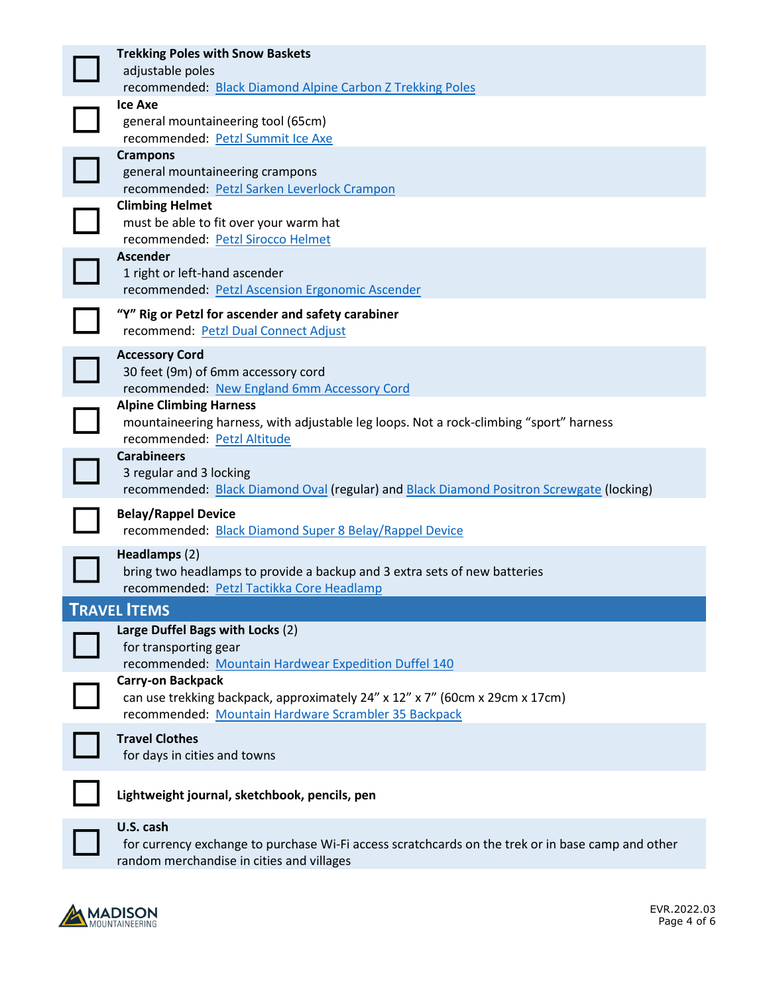| <b>Trekking Poles with Snow Baskets</b>                                                  |
|------------------------------------------------------------------------------------------|
| adjustable poles                                                                         |
| recommended: Black Diamond Alpine Carbon Z Trekking Poles                                |
| <b>Ice Axe</b>                                                                           |
| general mountaineering tool (65cm)<br>recommended: Petzl Summit Ice Axe                  |
| <b>Crampons</b>                                                                          |
| general mountaineering crampons                                                          |
| recommended: Petzl Sarken Leverlock Crampon                                              |
| <b>Climbing Helmet</b><br>must be able to fit over your warm hat                         |
| recommended: Petzl Sirocco Helmet                                                        |
| <b>Ascender</b>                                                                          |
| 1 right or left-hand ascender                                                            |
| recommended: Petzl Ascension Ergonomic Ascender                                          |
| "Y" Rig or Petzl for ascender and safety carabiner                                       |
| recommend: Petzl Dual Connect Adjust                                                     |
| <b>Accessory Cord</b><br>30 feet (9m) of 6mm accessory cord                              |
| recommended: New England 6mm Accessory Cord                                              |
| <b>Alpine Climbing Harness</b>                                                           |
| mountaineering harness, with adjustable leg loops. Not a rock-climbing "sport" harness   |
| recommended: Petzl Altitude                                                              |
| <b>Carabineers</b><br>3 regular and 3 locking                                            |
| recommended: Black Diamond Oval (regular) and Black Diamond Positron Screwgate (locking) |
| <b>Belay/Rappel Device</b>                                                               |
| recommended: Black Diamond Super 8 Belay/Rappel Device                                   |
| Headlamps (2)                                                                            |
| bring two headlamps to provide a backup and 3 extra sets of new batteries                |
| recommended: Petzl Tactikka Core Headlamp                                                |
| <b>TRAVEL ITEMS</b>                                                                      |
| Large Duffel Bags with Locks (2)                                                         |
| for transporting gear<br>recommended: Mountain Hardwear Expedition Duffel 140            |
| <b>Carry-on Backpack</b>                                                                 |
| can use trekking backpack, approximately 24" x 12" x 7" (60cm x 29cm x 17cm)             |
| recommended: Mountain Hardware Scrambler 35 Backpack                                     |
| <b>Travel Clothes</b>                                                                    |
| for days in cities and towns                                                             |
| Lightweight journal, sketchbook, pencils, pen                                            |
| U.S. cash                                                                                |

**U.S. cash**<br>for currentle for currency exchange to purchase Wi-Fi access scratchcards on the trek or in base camp and other random merchandise in cities and villages

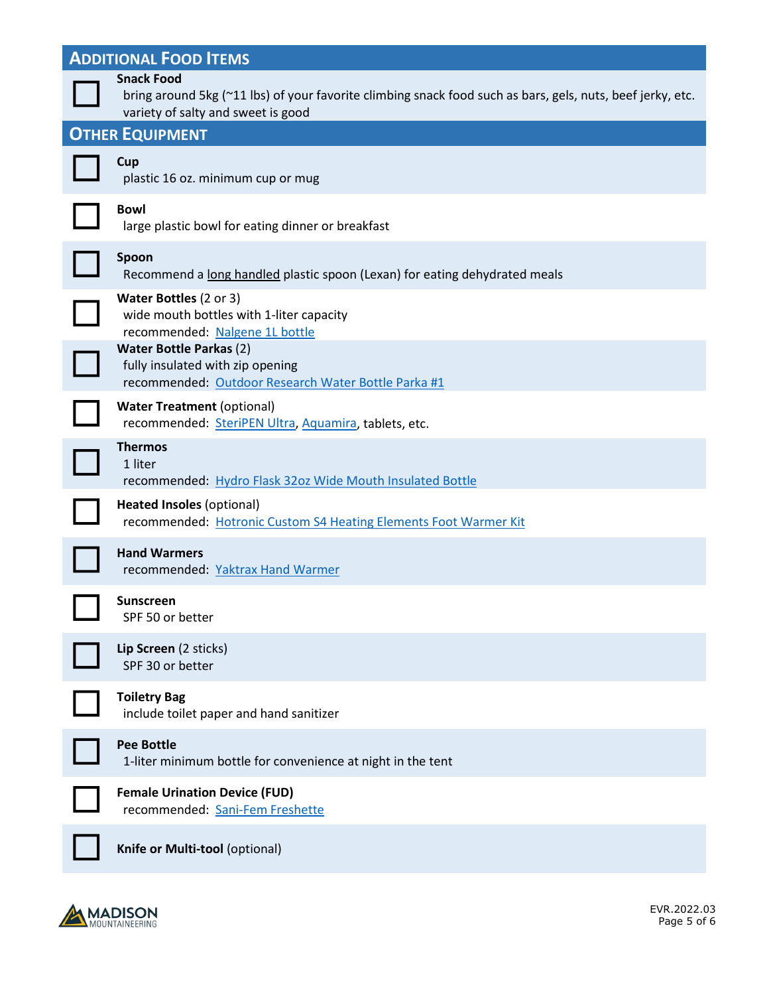| <b>ADDITIONAL FOOD ITEMS</b> |                                                                                                                                                                       |  |
|------------------------------|-----------------------------------------------------------------------------------------------------------------------------------------------------------------------|--|
|                              | <b>Snack Food</b><br>bring around 5kg (~11 lbs) of your favorite climbing snack food such as bars, gels, nuts, beef jerky, etc.<br>variety of salty and sweet is good |  |
|                              | <b>OTHER EQUIPMENT</b>                                                                                                                                                |  |
|                              | Cup<br>plastic 16 oz. minimum cup or mug                                                                                                                              |  |
|                              | <b>Bowl</b><br>large plastic bowl for eating dinner or breakfast                                                                                                      |  |
|                              | Spoon<br>Recommend a long handled plastic spoon (Lexan) for eating dehydrated meals                                                                                   |  |
|                              | Water Bottles (2 or 3)<br>wide mouth bottles with 1-liter capacity<br>recommended: Nalgene 1L bottle                                                                  |  |
|                              | <b>Water Bottle Parkas (2)</b><br>fully insulated with zip opening<br>recommended: Outdoor Research Water Bottle Parka #1                                             |  |
|                              | <b>Water Treatment (optional)</b><br>recommended: SteriPEN Ultra, Aquamira, tablets, etc.                                                                             |  |
|                              | <b>Thermos</b><br>1 liter<br>recommended: Hydro Flask 32oz Wide Mouth Insulated Bottle                                                                                |  |
|                              | <b>Heated Insoles (optional)</b><br>recommended: Hotronic Custom S4 Heating Elements Foot Warmer Kit                                                                  |  |
|                              | <b>Hand Warmers</b><br>recommended: Yaktrax Hand Warmer                                                                                                               |  |
|                              | Sunscreen<br>SPF 50 or better                                                                                                                                         |  |
|                              | Lip Screen (2 sticks)<br>SPF 30 or better                                                                                                                             |  |
|                              | <b>Toiletry Bag</b><br>include toilet paper and hand sanitizer                                                                                                        |  |
|                              | <b>Pee Bottle</b><br>1-liter minimum bottle for convenience at night in the tent                                                                                      |  |
|                              | <b>Female Urination Device (FUD)</b><br>recommended: Sani-Fem Freshette                                                                                               |  |
|                              | Knife or Multi-tool (optional)                                                                                                                                        |  |

**MADISON**<br>MOUNTAINEERING